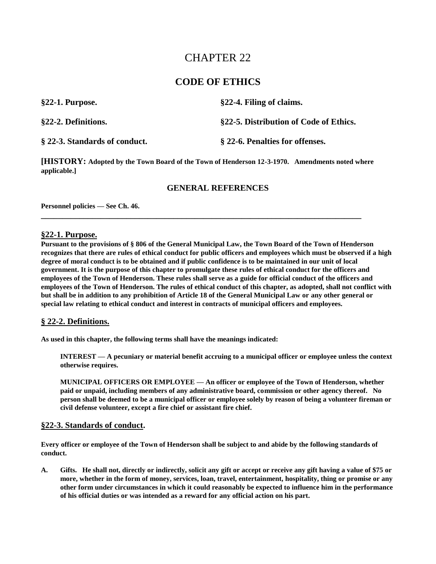# CHAPTER 22

# **CODE OF ETHICS**

| $§22-1$ . Purpose.            | §22-4. Filing of claims.               |
|-------------------------------|----------------------------------------|
| §22-2. Definitions.           | §22-5. Distribution of Code of Ethics. |
| § 22-3. Standards of conduct. | § 22-6. Penalties for offenses.        |

**[HISTORY: Adopted by the Town Board of the Town of Henderson 12-3-1970. Amendments noted where applicable.]**

**\_\_\_\_\_\_\_\_\_\_\_\_\_\_\_\_\_\_\_\_\_\_\_\_\_\_\_\_\_\_\_\_\_\_\_\_\_\_\_\_\_\_\_\_\_\_\_\_\_\_\_\_\_\_\_\_\_\_\_\_\_\_\_\_\_\_\_\_\_\_\_\_\_\_\_**

## **GENERAL REFERENCES**

**Personnel policies — See Ch. 46.**

## **§22-1. Purpose.**

**Pursuant to the provisions of § 806 of the General Municipal Law, the Town Board of the Town of Henderson recognizes that there are rules of ethical conduct for public officers and employees which must be observed if a high degree of moral conduct is to be obtained and if public confidence is to be maintained in our unit of local government. It is the purpose of this chapter to promulgate these rules of ethical conduct for the officers and employees of the Town of Henderson. These rules shall serve as a guide for official conduct of the officers and employees of the Town of Henderson. The rules of ethical conduct of this chapter, as adopted, shall not conflict with but shall be in addition to any prohibition of Article 18 of the General Municipal Law or any other general or special law relating to ethical conduct and interest in contracts of municipal officers and employees.**

#### **§ 22-2. Definitions.**

**As used in this chapter, the following terms shall have the meanings indicated:**

**INTEREST — A pecuniary or material benefit accruing to a municipal officer or employee unless the context otherwise requires.**

**MUNICIPAL OFFICERS OR EMPLOYEE — An officer or employee of the Town of Henderson, whether paid or unpaid, including members of any administrative board, commission or other agency thereof. No person shall be deemed to be a municipal officer or employee solely by reason of being a volunteer fireman or civil defense volunteer, except a fire chief or assistant fire chief.**

#### **§22-3. Standards of conduct.**

**Every officer or employee of the Town of Henderson shall be subject to and abide by the following standards of conduct.**

**A. Gifts. He shall not, directly or indirectly, solicit any gift or accept or receive any gift having a value of \$75 or more, whether in the form of money, services, loan, travel, entertainment, hospitality, thing or promise or any other form under circumstances in which it could reasonably be expected to influence him in the performance of his official duties or was intended as a reward for any official action on his part.**